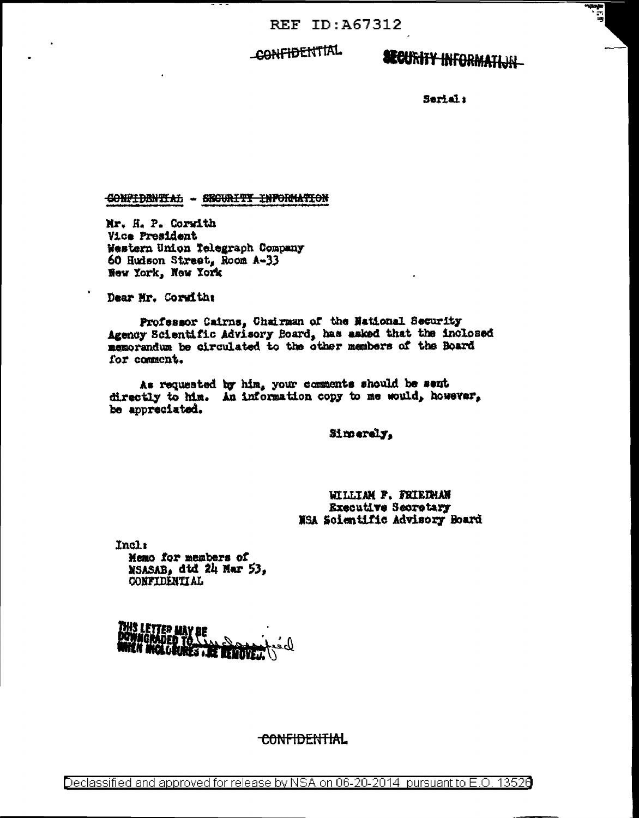**REF ID: A67312** 

CONFIDENTIAL

**SECURITY INFORMATION** 

ा<br>ब

Serial:

CONFIDENTIAL - SECURITY INFORMATION

Mr. H. P. Corwith Vice President Western Union Telegraph Company 60 Hudson Street, Room A-33 New York, New York

Dear Mr. Corwith:

Professor Cairns, Chairman of the National Security Agency Scientific Advisory Board, has asked that the inclosed memorandum be circulated to the other members of the Board for comment.

As requested by him, your comments should be sent directly to him. An information copy to me would, however, be appreciated.

Simerely.

WILLIAM F. FRIEDHAN **Executive Secretary** NSA Solentific Advisory Board

Incli Memo for members of NSASAB, dtd 24 Mar 53. CONFIDENTIAL

<u>This Letter May Be</u> DOWNGRADED YO SEARCH DOWER.<br>MHEN MICLORINES ARE REMOVED.

CONFIDENTIAL

Declassified and approved for release by NSA on 06-20-2014 pursuant to E.O. 13526